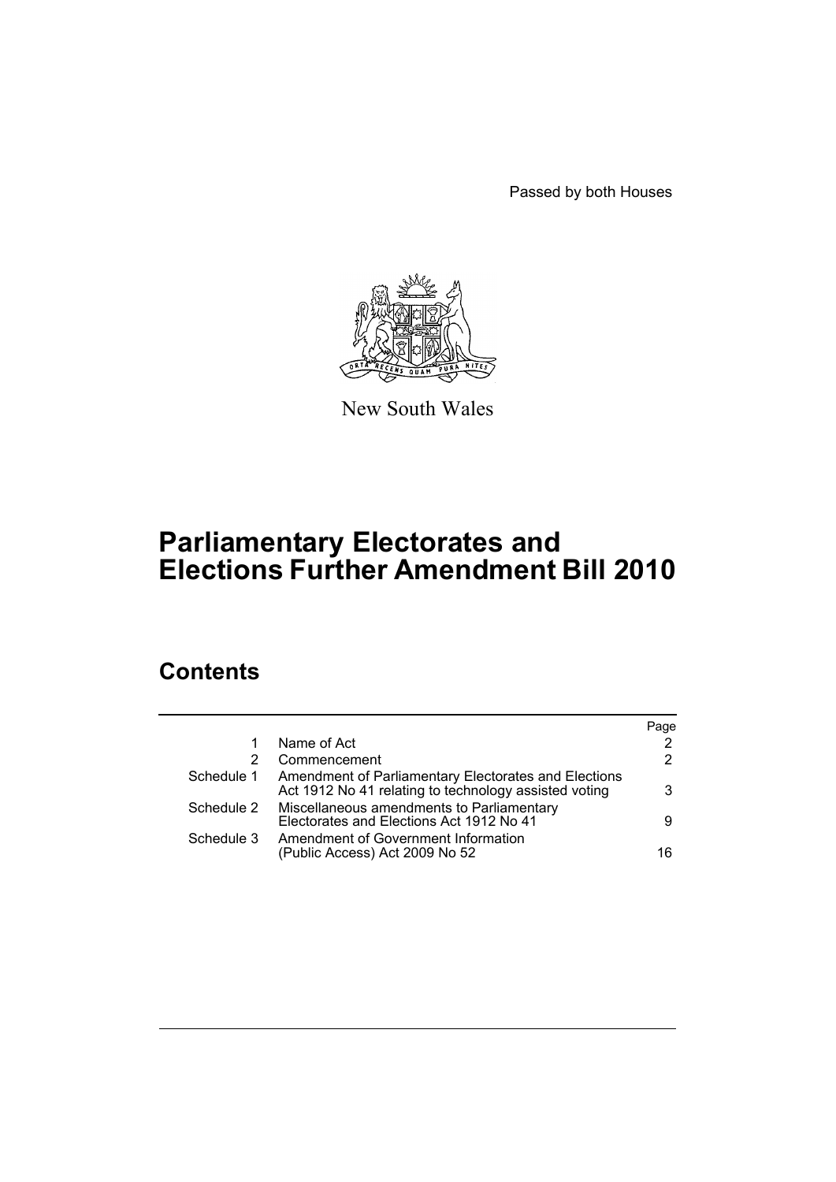Passed by both Houses



New South Wales

# **Parliamentary Electorates and Elections Further Amendment Bill 2010**

## **Contents**

|            |                                                                                                               | Page |
|------------|---------------------------------------------------------------------------------------------------------------|------|
|            | Name of Act                                                                                                   | 2    |
| 2          | Commencement                                                                                                  | 2    |
| Schedule 1 | Amendment of Parliamentary Electorates and Elections<br>Act 1912 No 41 relating to technology assisted voting | 3    |
| Schedule 2 | Miscellaneous amendments to Parliamentary<br>Electorates and Elections Act 1912 No 41                         | 9    |
| Schedule 3 | Amendment of Government Information<br>(Public Access) Act 2009 No 52                                         | 16   |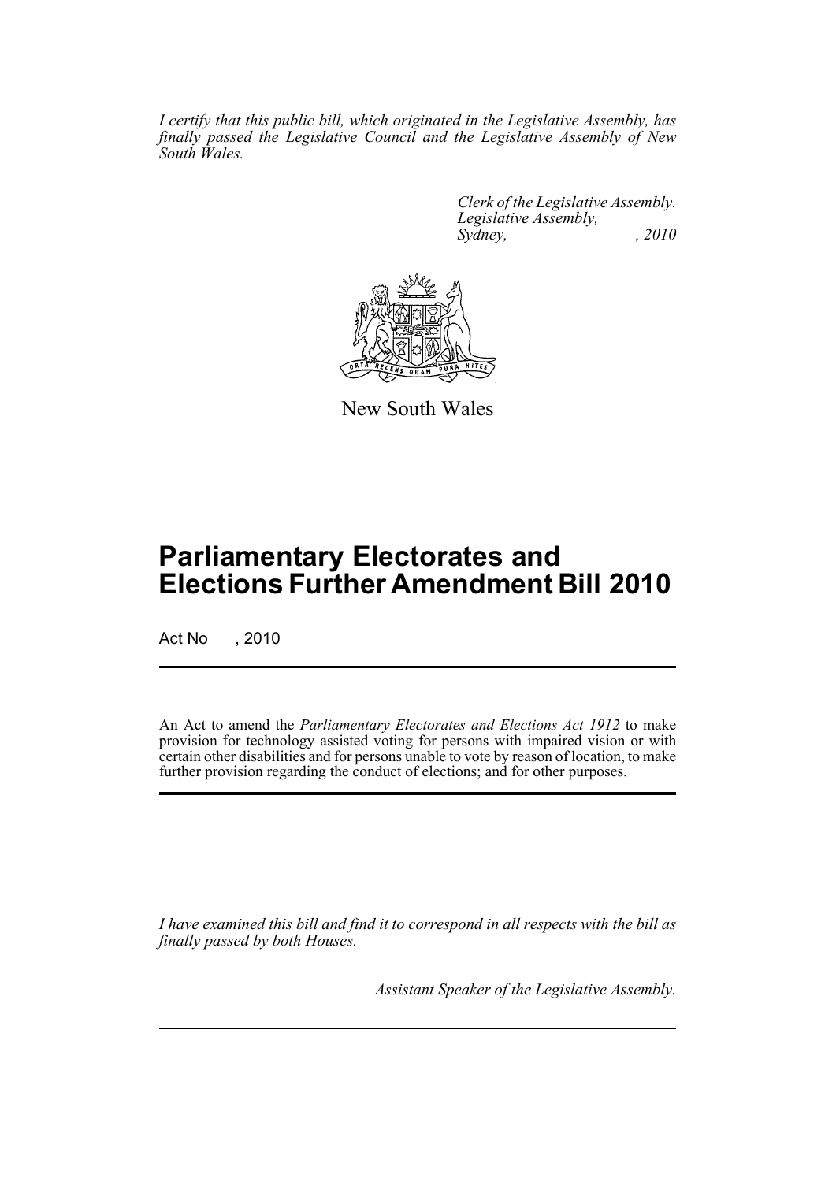*I certify that this public bill, which originated in the Legislative Assembly, has finally passed the Legislative Council and the Legislative Assembly of New South Wales.*

> *Clerk of the Legislative Assembly. Legislative Assembly, Sydney, , 2010*



New South Wales

## **Parliamentary Electorates and Elections Further Amendment Bill 2010**

Act No , 2010

An Act to amend the *Parliamentary Electorates and Elections Act 1912* to make provision for technology assisted voting for persons with impaired vision or with certain other disabilities and for persons unable to vote by reason of location, to make further provision regarding the conduct of elections; and for other purposes.

*I have examined this bill and find it to correspond in all respects with the bill as finally passed by both Houses.*

*Assistant Speaker of the Legislative Assembly.*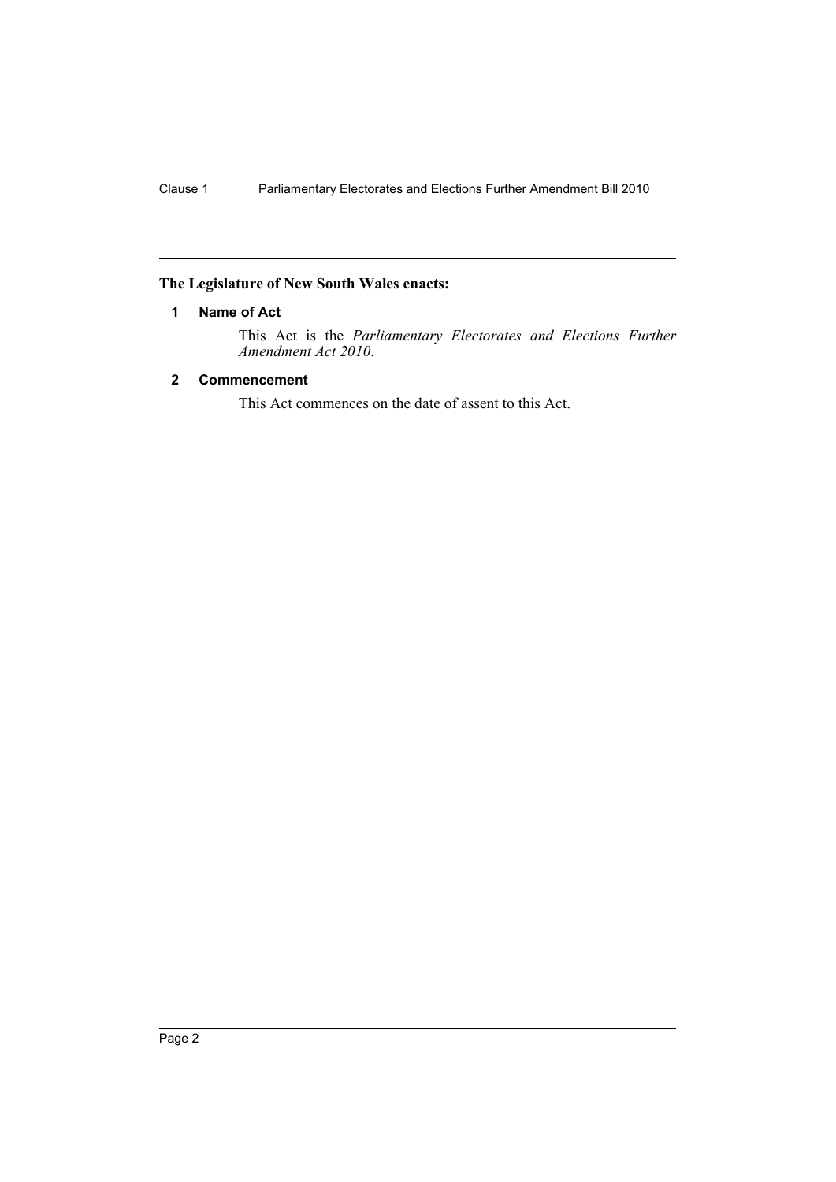## <span id="page-3-0"></span>**The Legislature of New South Wales enacts:**

## **1 Name of Act**

This Act is the *Parliamentary Electorates and Elections Further Amendment Act 2010*.

## <span id="page-3-1"></span>**2 Commencement**

This Act commences on the date of assent to this Act.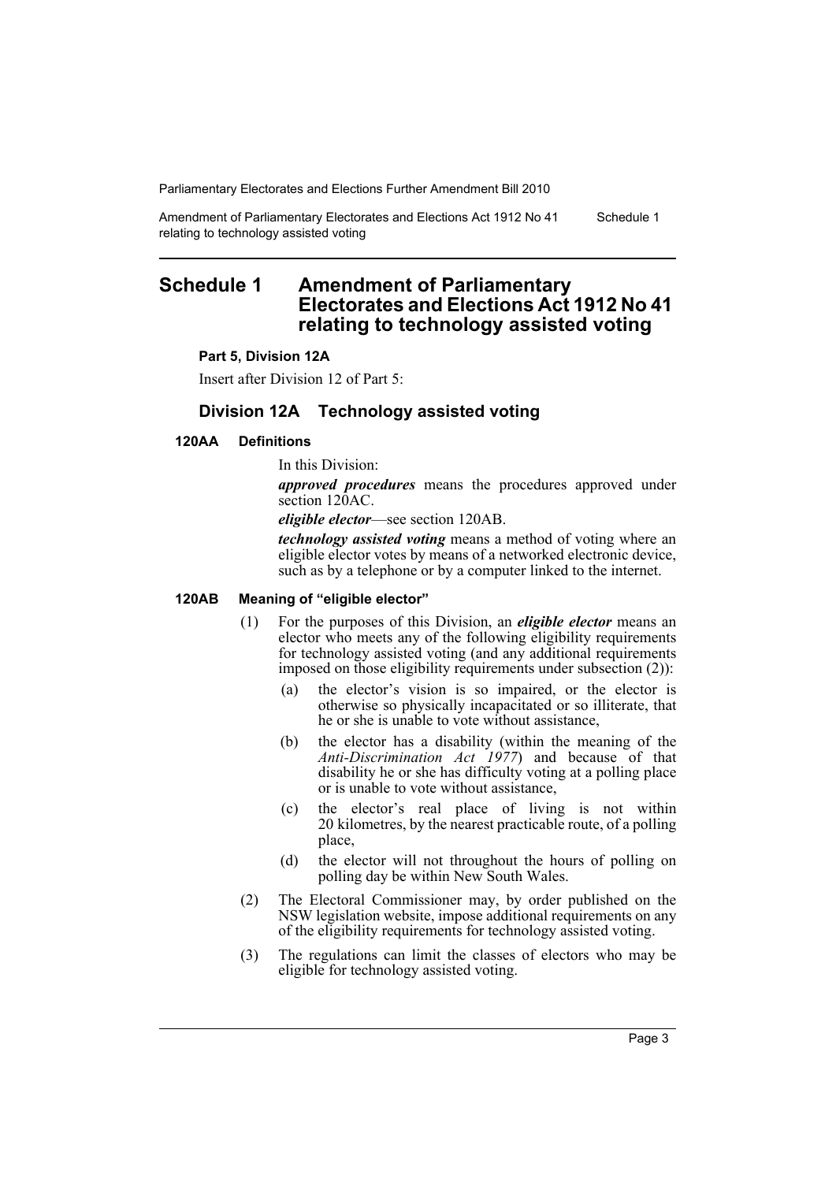Amendment of Parliamentary Electorates and Elections Act 1912 No 41 relating to technology assisted voting Schedule 1

## <span id="page-4-0"></span>**Schedule 1 Amendment of Parliamentary Electorates and Elections Act 1912 No 41 relating to technology assisted voting**

#### **Part 5, Division 12A**

Insert after Division 12 of Part 5:

## **Division 12A Technology assisted voting**

#### **120AA Definitions**

In this Division:

*approved procedures* means the procedures approved under section 120AC.

*eligible elector*—see section 120AB.

*technology assisted voting* means a method of voting where an eligible elector votes by means of a networked electronic device, such as by a telephone or by a computer linked to the internet.

#### **120AB Meaning of "eligible elector"**

- (1) For the purposes of this Division, an *eligible elector* means an elector who meets any of the following eligibility requirements for technology assisted voting (and any additional requirements imposed on those eligibility requirements under subsection (2)):
	- (a) the elector's vision is so impaired, or the elector is otherwise so physically incapacitated or so illiterate, that he or she is unable to vote without assistance,
	- (b) the elector has a disability (within the meaning of the *Anti-Discrimination Act 1977*) and because of that disability he or she has difficulty voting at a polling place or is unable to vote without assistance,
	- (c) the elector's real place of living is not within 20 kilometres, by the nearest practicable route, of a polling place,
	- (d) the elector will not throughout the hours of polling on polling day be within New South Wales.
- (2) The Electoral Commissioner may, by order published on the NSW legislation website, impose additional requirements on any of the eligibility requirements for technology assisted voting.
- (3) The regulations can limit the classes of electors who may be eligible for technology assisted voting.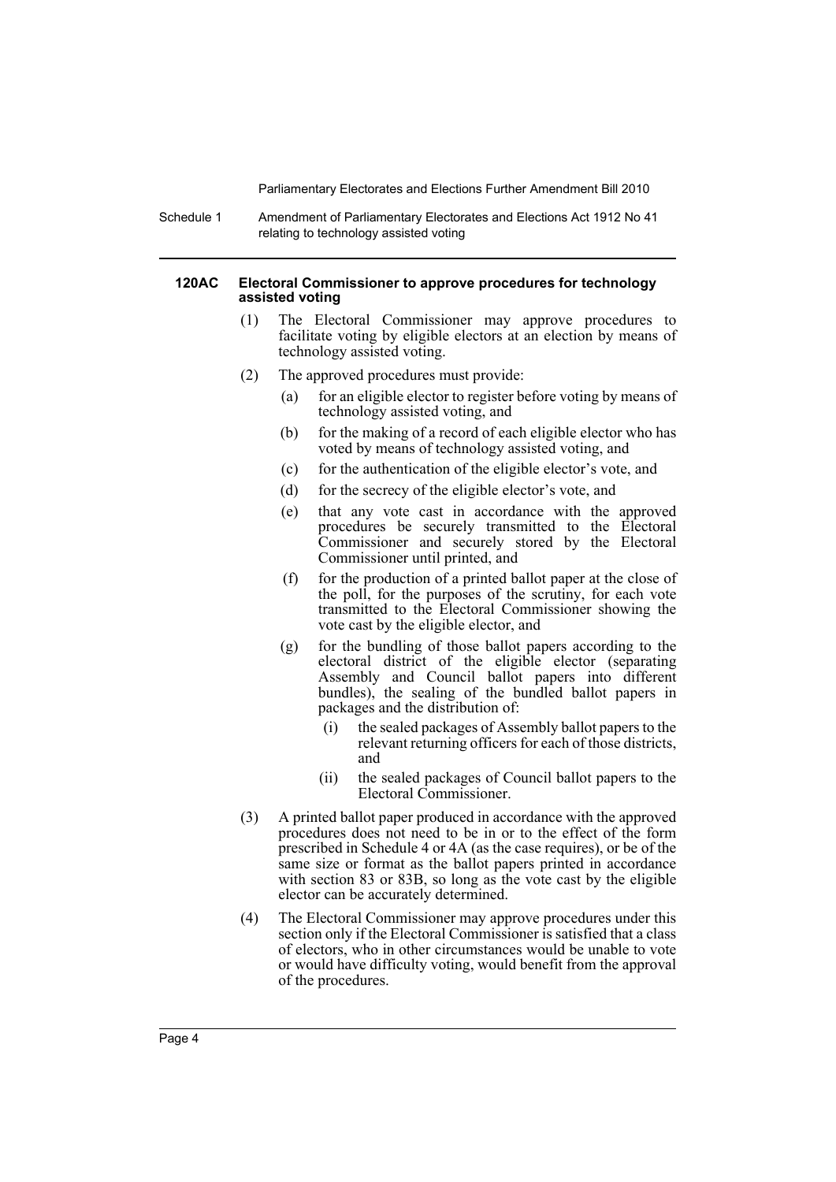Schedule 1 Amendment of Parliamentary Electorates and Elections Act 1912 No 41 relating to technology assisted voting

#### **120AC Electoral Commissioner to approve procedures for technology assisted voting**

- (1) The Electoral Commissioner may approve procedures to facilitate voting by eligible electors at an election by means of technology assisted voting.
- (2) The approved procedures must provide:
	- (a) for an eligible elector to register before voting by means of technology assisted voting, and
	- (b) for the making of a record of each eligible elector who has voted by means of technology assisted voting, and
	- (c) for the authentication of the eligible elector's vote, and
	- (d) for the secrecy of the eligible elector's vote, and
	- (e) that any vote cast in accordance with the approved procedures be securely transmitted to the Electoral Commissioner and securely stored by the Electoral Commissioner until printed, and
	- (f) for the production of a printed ballot paper at the close of the poll, for the purposes of the scrutiny, for each vote transmitted to the Electoral Commissioner showing the vote cast by the eligible elector, and
	- (g) for the bundling of those ballot papers according to the electoral district of the eligible elector (separating Assembly and Council ballot papers into different bundles), the sealing of the bundled ballot papers in packages and the distribution of:
		- (i) the sealed packages of Assembly ballot papers to the relevant returning officers for each of those districts, and
		- (ii) the sealed packages of Council ballot papers to the Electoral Commissioner.
- (3) A printed ballot paper produced in accordance with the approved procedures does not need to be in or to the effect of the form prescribed in Schedule 4 or 4A (as the case requires), or be of the same size or format as the ballot papers printed in accordance with section 83 or 83B, so long as the vote cast by the eligible elector can be accurately determined.
- (4) The Electoral Commissioner may approve procedures under this section only if the Electoral Commissioner is satisfied that a class of electors, who in other circumstances would be unable to vote or would have difficulty voting, would benefit from the approval of the procedures.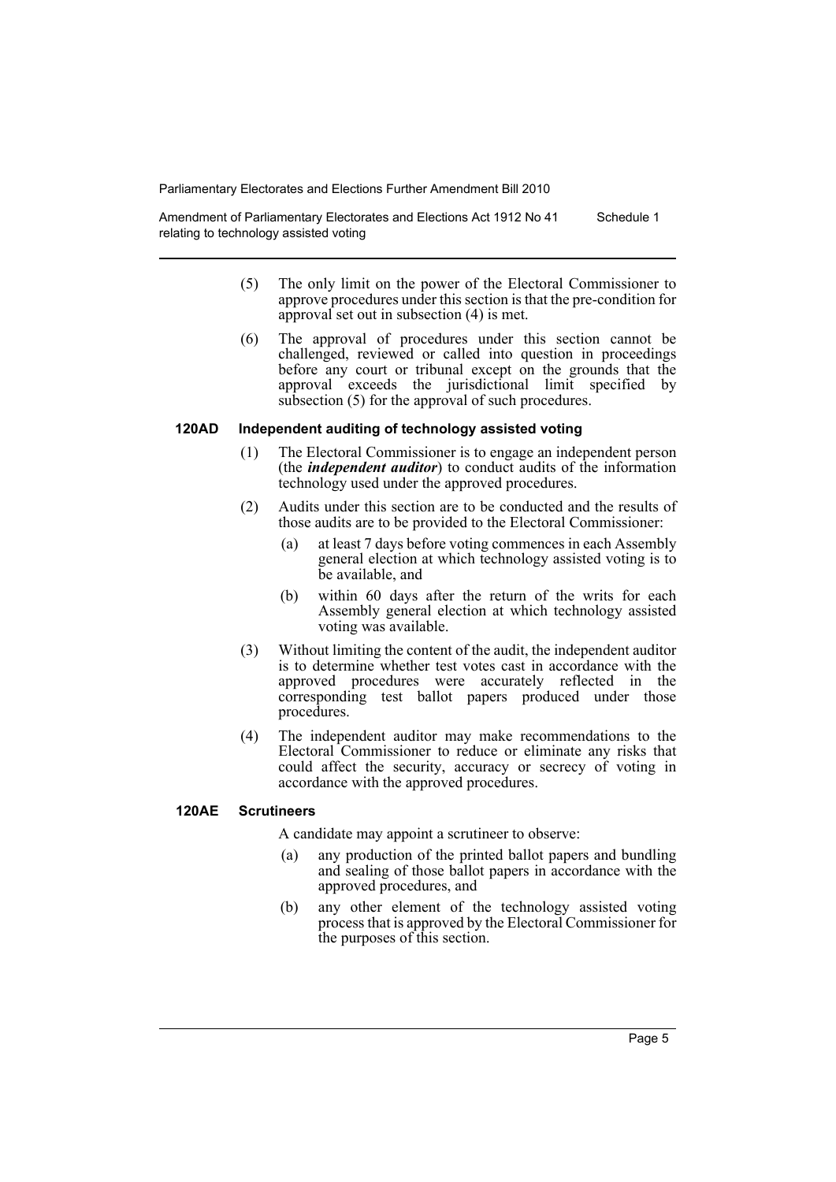Amendment of Parliamentary Electorates and Elections Act 1912 No 41 relating to technology assisted voting Schedule 1

- (5) The only limit on the power of the Electoral Commissioner to approve procedures under this section is that the pre-condition for approval set out in subsection (4) is met.
- (6) The approval of procedures under this section cannot be challenged, reviewed or called into question in proceedings before any court or tribunal except on the grounds that the approval exceeds the jurisdictional limit specified by subsection (5) for the approval of such procedures.

#### **120AD Independent auditing of technology assisted voting**

- (1) The Electoral Commissioner is to engage an independent person (the *independent auditor*) to conduct audits of the information technology used under the approved procedures.
- (2) Audits under this section are to be conducted and the results of those audits are to be provided to the Electoral Commissioner:
	- (a) at least 7 days before voting commences in each Assembly general election at which technology assisted voting is to be available, and
	- (b) within 60 days after the return of the writs for each Assembly general election at which technology assisted voting was available.
- (3) Without limiting the content of the audit, the independent auditor is to determine whether test votes cast in accordance with the approved procedures were accurately reflected in the corresponding test ballot papers produced under those procedures.
- (4) The independent auditor may make recommendations to the Electoral Commissioner to reduce or eliminate any risks that could affect the security, accuracy or secrecy of voting in accordance with the approved procedures.

#### **120AE Scrutineers**

A candidate may appoint a scrutineer to observe:

- (a) any production of the printed ballot papers and bundling and sealing of those ballot papers in accordance with the approved procedures, and
- (b) any other element of the technology assisted voting process that is approved by the Electoral Commissioner for the purposes of this section.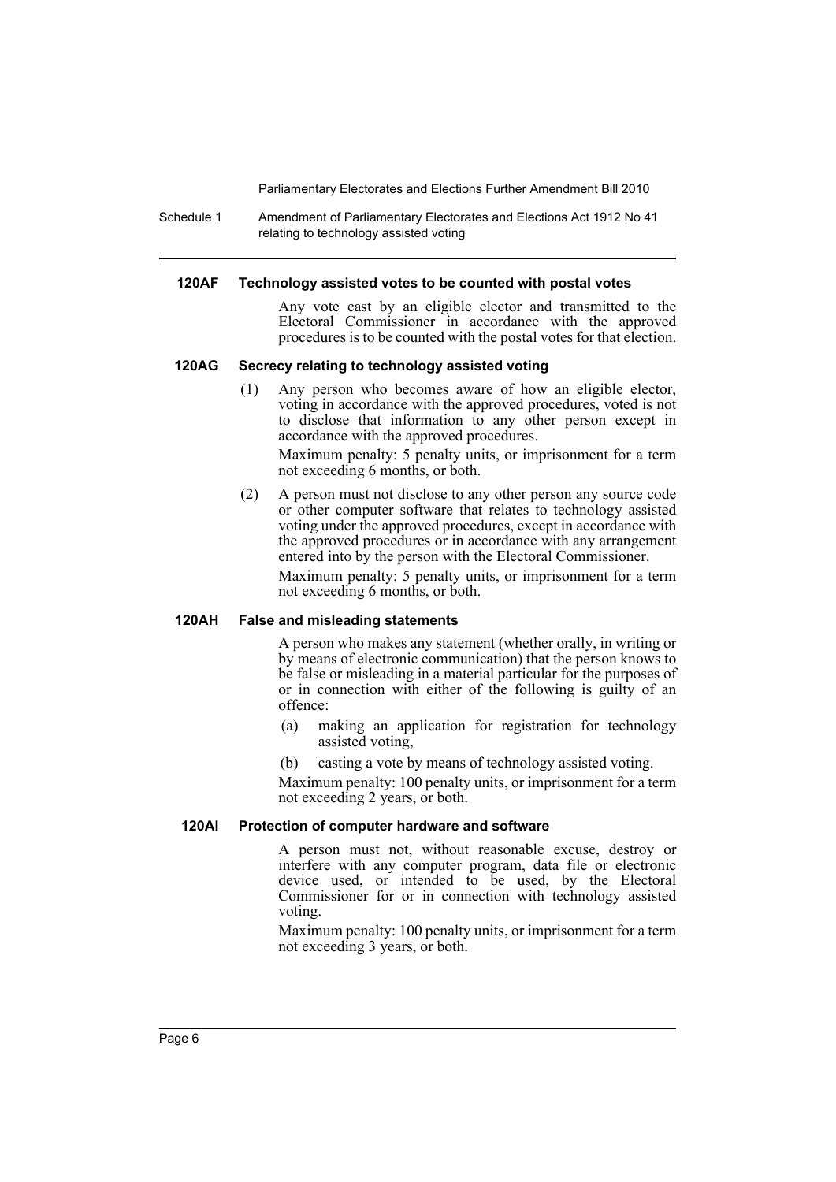Schedule 1 Amendment of Parliamentary Electorates and Elections Act 1912 No 41 relating to technology assisted voting

#### **120AF Technology assisted votes to be counted with postal votes**

Any vote cast by an eligible elector and transmitted to the Electoral Commissioner in accordance with the approved procedures is to be counted with the postal votes for that election.

#### **120AG Secrecy relating to technology assisted voting**

(1) Any person who becomes aware of how an eligible elector, voting in accordance with the approved procedures, voted is not to disclose that information to any other person except in accordance with the approved procedures.

Maximum penalty: 5 penalty units, or imprisonment for a term not exceeding 6 months, or both.

(2) A person must not disclose to any other person any source code or other computer software that relates to technology assisted voting under the approved procedures, except in accordance with the approved procedures or in accordance with any arrangement entered into by the person with the Electoral Commissioner.

Maximum penalty: 5 penalty units, or imprisonment for a term not exceeding 6 months, or both.

#### **120AH False and misleading statements**

A person who makes any statement (whether orally, in writing or by means of electronic communication) that the person knows to be false or misleading in a material particular for the purposes of or in connection with either of the following is guilty of an offence:

- (a) making an application for registration for technology assisted voting,
- (b) casting a vote by means of technology assisted voting.

Maximum penalty: 100 penalty units, or imprisonment for a term not exceeding 2 years, or both.

#### **120AI Protection of computer hardware and software**

A person must not, without reasonable excuse, destroy or interfere with any computer program, data file or electronic device used, or intended to be used, by the Electoral Commissioner for or in connection with technology assisted voting.

Maximum penalty: 100 penalty units, or imprisonment for a term not exceeding 3 years, or both.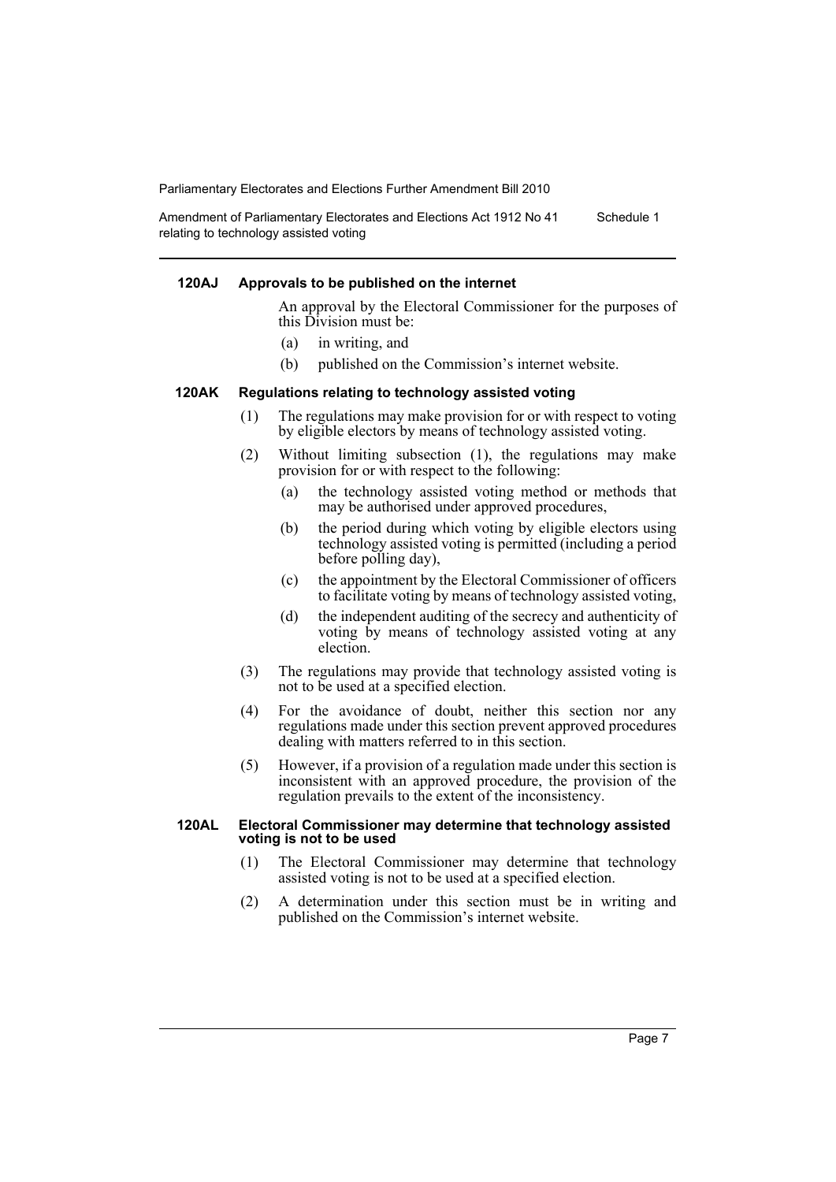Amendment of Parliamentary Electorates and Elections Act 1912 No 41 relating to technology assisted voting Schedule 1

#### **120AJ Approvals to be published on the internet**

An approval by the Electoral Commissioner for the purposes of this Division must be:

- (a) in writing, and
- (b) published on the Commission's internet website.

#### **120AK Regulations relating to technology assisted voting**

- (1) The regulations may make provision for or with respect to voting by eligible electors by means of technology assisted voting.
- (2) Without limiting subsection (1), the regulations may make provision for or with respect to the following:
	- (a) the technology assisted voting method or methods that may be authorised under approved procedures,
	- (b) the period during which voting by eligible electors using technology assisted voting is permitted (including a period before polling day),
	- (c) the appointment by the Electoral Commissioner of officers to facilitate voting by means of technology assisted voting,
	- (d) the independent auditing of the secrecy and authenticity of voting by means of technology assisted voting at any election.
- (3) The regulations may provide that technology assisted voting is not to be used at a specified election.
- (4) For the avoidance of doubt, neither this section nor any regulations made under this section prevent approved procedures dealing with matters referred to in this section.
- (5) However, if a provision of a regulation made under this section is inconsistent with an approved procedure, the provision of the regulation prevails to the extent of the inconsistency.

#### **120AL Electoral Commissioner may determine that technology assisted voting is not to be used**

- (1) The Electoral Commissioner may determine that technology assisted voting is not to be used at a specified election.
- (2) A determination under this section must be in writing and published on the Commission's internet website.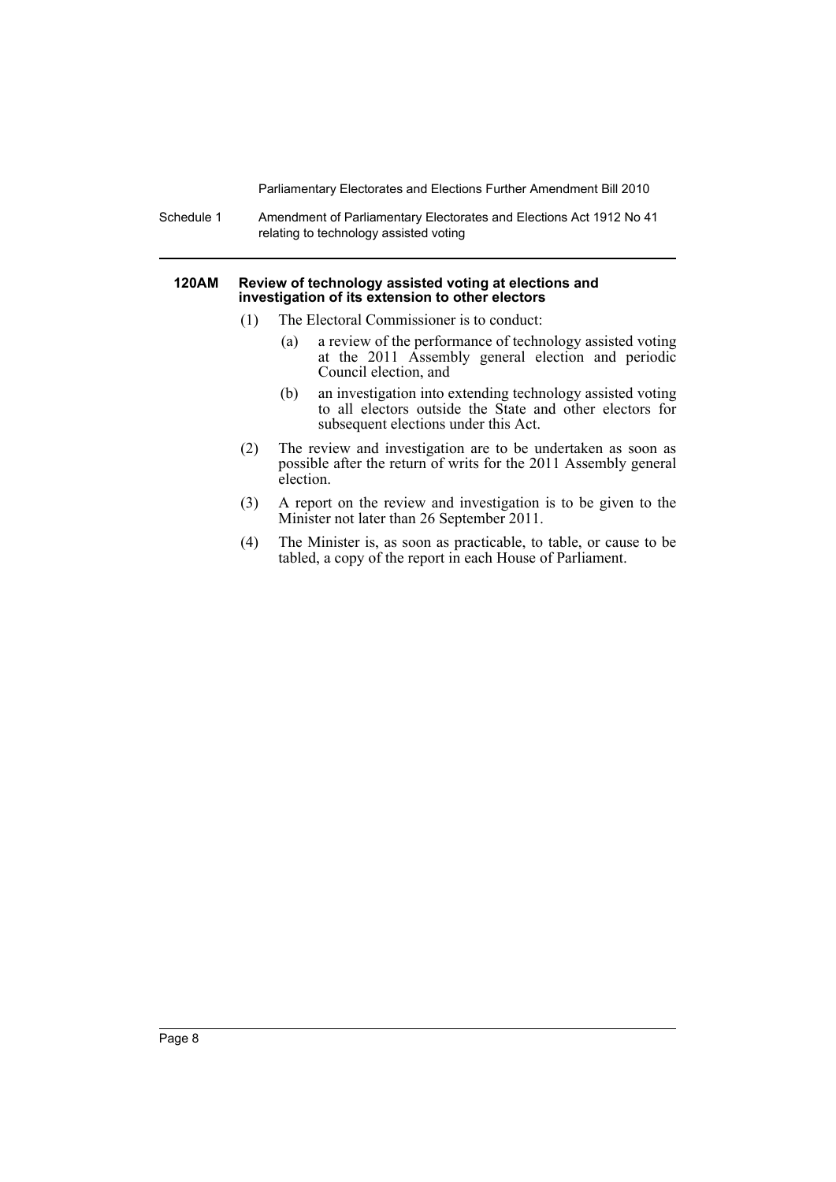Schedule 1 Amendment of Parliamentary Electorates and Elections Act 1912 No 41 relating to technology assisted voting

#### **120AM Review of technology assisted voting at elections and investigation of its extension to other electors**

- (1) The Electoral Commissioner is to conduct:
	- (a) a review of the performance of technology assisted voting at the 2011 Assembly general election and periodic Council election, and
	- (b) an investigation into extending technology assisted voting to all electors outside the State and other electors for subsequent elections under this Act.
- (2) The review and investigation are to be undertaken as soon as possible after the return of writs for the 2011 Assembly general election.
- (3) A report on the review and investigation is to be given to the Minister not later than 26 September 2011.
- (4) The Minister is, as soon as practicable, to table, or cause to be tabled, a copy of the report in each House of Parliament.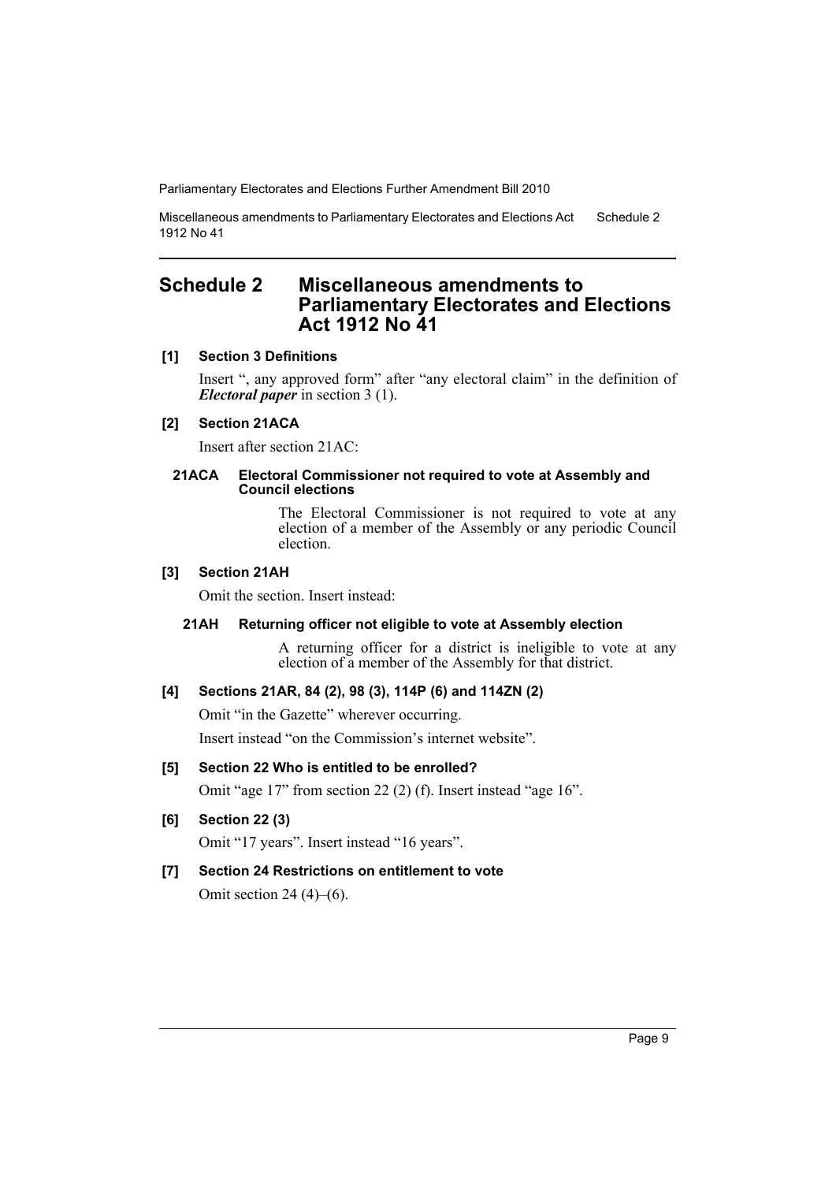Miscellaneous amendments to Parliamentary Electorates and Elections Act 1912 No 41 Schedule 2

## <span id="page-10-0"></span>**Schedule 2 Miscellaneous amendments to Parliamentary Electorates and Elections Act 1912 No 41**

#### **[1] Section 3 Definitions**

Insert ", any approved form" after "any electoral claim" in the definition of *Electoral paper* in section 3 (1).

## **[2] Section 21ACA**

Insert after section 21AC:

#### **21ACA Electoral Commissioner not required to vote at Assembly and Council elections**

The Electoral Commissioner is not required to vote at any election of a member of the Assembly or any periodic Council election.

#### **[3] Section 21AH**

Omit the section. Insert instead:

#### **21AH Returning officer not eligible to vote at Assembly election**

A returning officer for a district is ineligible to vote at any election of a member of the Assembly for that district.

### **[4] Sections 21AR, 84 (2), 98 (3), 114P (6) and 114ZN (2)**

Omit "in the Gazette" wherever occurring.

Insert instead "on the Commission's internet website".

#### **[5] Section 22 Who is entitled to be enrolled?**

Omit "age 17" from section 22 (2) (f). Insert instead "age 16".

#### **[6] Section 22 (3)**

Omit "17 years". Insert instead "16 years".

## **[7] Section 24 Restrictions on entitlement to vote**

Omit section 24  $(4)$ – $(6)$ .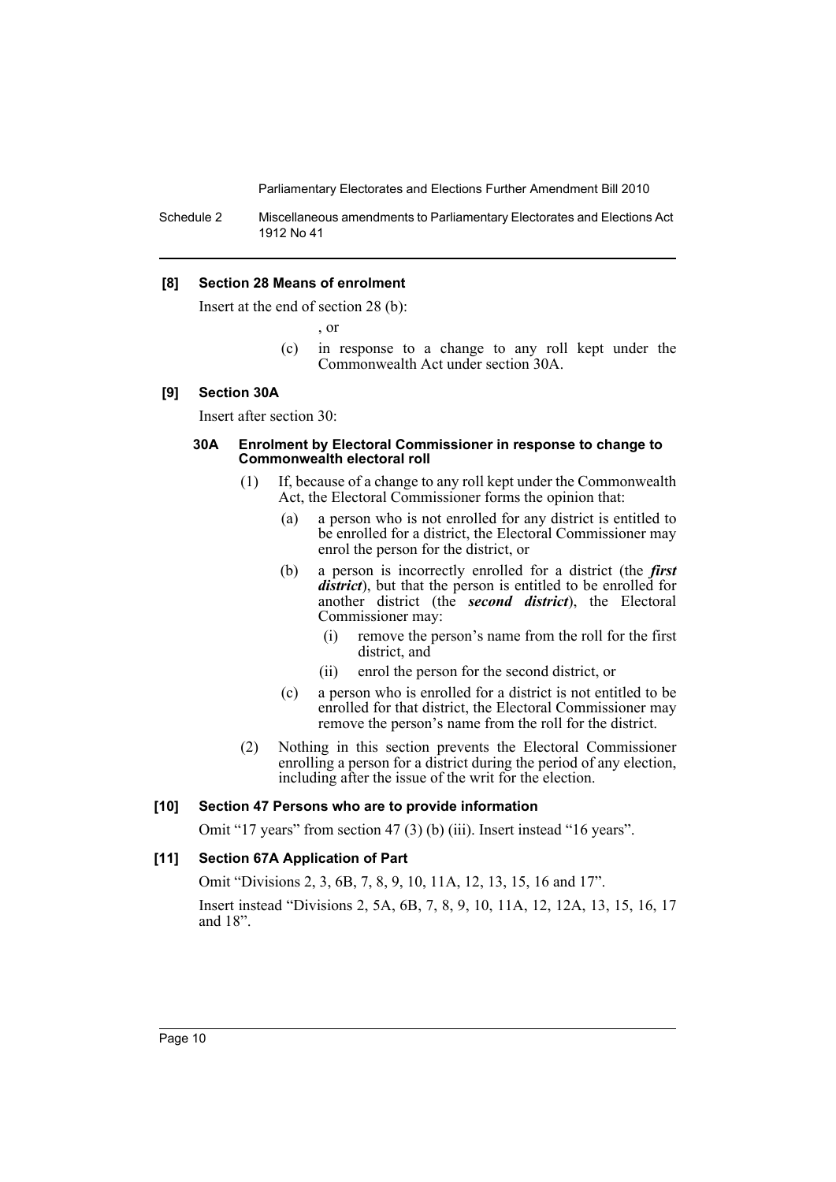Schedule 2 Miscellaneous amendments to Parliamentary Electorates and Elections Act 1912 No 41

#### **[8] Section 28 Means of enrolment**

Insert at the end of section 28 (b):

, or

(c) in response to a change to any roll kept under the Commonwealth Act under section 30A.

#### **[9] Section 30A**

Insert after section 30:

#### **30A Enrolment by Electoral Commissioner in response to change to Commonwealth electoral roll**

- (1) If, because of a change to any roll kept under the Commonwealth Act, the Electoral Commissioner forms the opinion that:
	- (a) a person who is not enrolled for any district is entitled to be enrolled for a district, the Electoral Commissioner may enrol the person for the district, or
	- (b) a person is incorrectly enrolled for a district (the *first district*), but that the person is entitled to be enrolled for another district (the *second district*), the Electoral Commissioner may:
		- (i) remove the person's name from the roll for the first district, and
		- (ii) enrol the person for the second district, or
	- (c) a person who is enrolled for a district is not entitled to be enrolled for that district, the Electoral Commissioner may remove the person's name from the roll for the district.
- (2) Nothing in this section prevents the Electoral Commissioner enrolling a person for a district during the period of any election, including after the issue of the writ for the election.

#### **[10] Section 47 Persons who are to provide information**

Omit "17 years" from section 47 (3) (b) (iii). Insert instead "16 years".

#### **[11] Section 67A Application of Part**

Omit "Divisions 2, 3, 6B, 7, 8, 9, 10, 11A, 12, 13, 15, 16 and 17". Insert instead "Divisions 2, 5A, 6B, 7, 8, 9, 10, 11A, 12, 12A, 13, 15, 16, 17 and 18".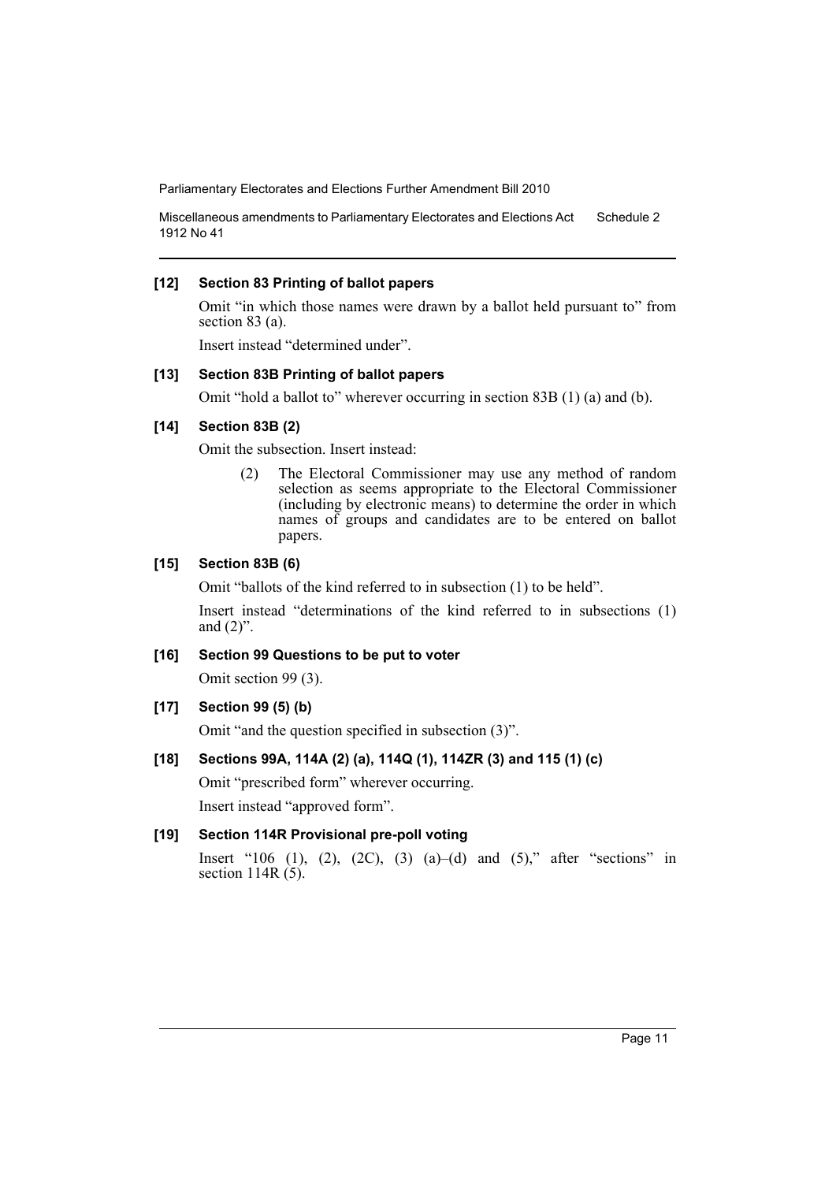Miscellaneous amendments to Parliamentary Electorates and Elections Act 1912 No 41 Schedule 2

#### **[12] Section 83 Printing of ballot papers**

Omit "in which those names were drawn by a ballot held pursuant to" from section 83 (a).

Insert instead "determined under".

#### **[13] Section 83B Printing of ballot papers**

Omit "hold a ballot to" wherever occurring in section 83B (1) (a) and (b).

## **[14] Section 83B (2)**

Omit the subsection. Insert instead:

(2) The Electoral Commissioner may use any method of random selection as seems appropriate to the Electoral Commissioner (including by electronic means) to determine the order in which names of groups and candidates are to be entered on ballot papers.

#### **[15] Section 83B (6)**

Omit "ballots of the kind referred to in subsection (1) to be held".

Insert instead "determinations of the kind referred to in subsections (1) and  $(2)$ ".

#### **[16] Section 99 Questions to be put to voter**

Omit section 99 (3).

**[17] Section 99 (5) (b)**

Omit "and the question specified in subsection (3)".

### **[18] Sections 99A, 114A (2) (a), 114Q (1), 114ZR (3) and 115 (1) (c)**

Omit "prescribed form" wherever occurring.

Insert instead "approved form".

## **[19] Section 114R Provisional pre-poll voting**

Insert "106 (1), (2), (2C), (3) (a)–(d) and (5)," after "sections" in section  $114R(5)$ .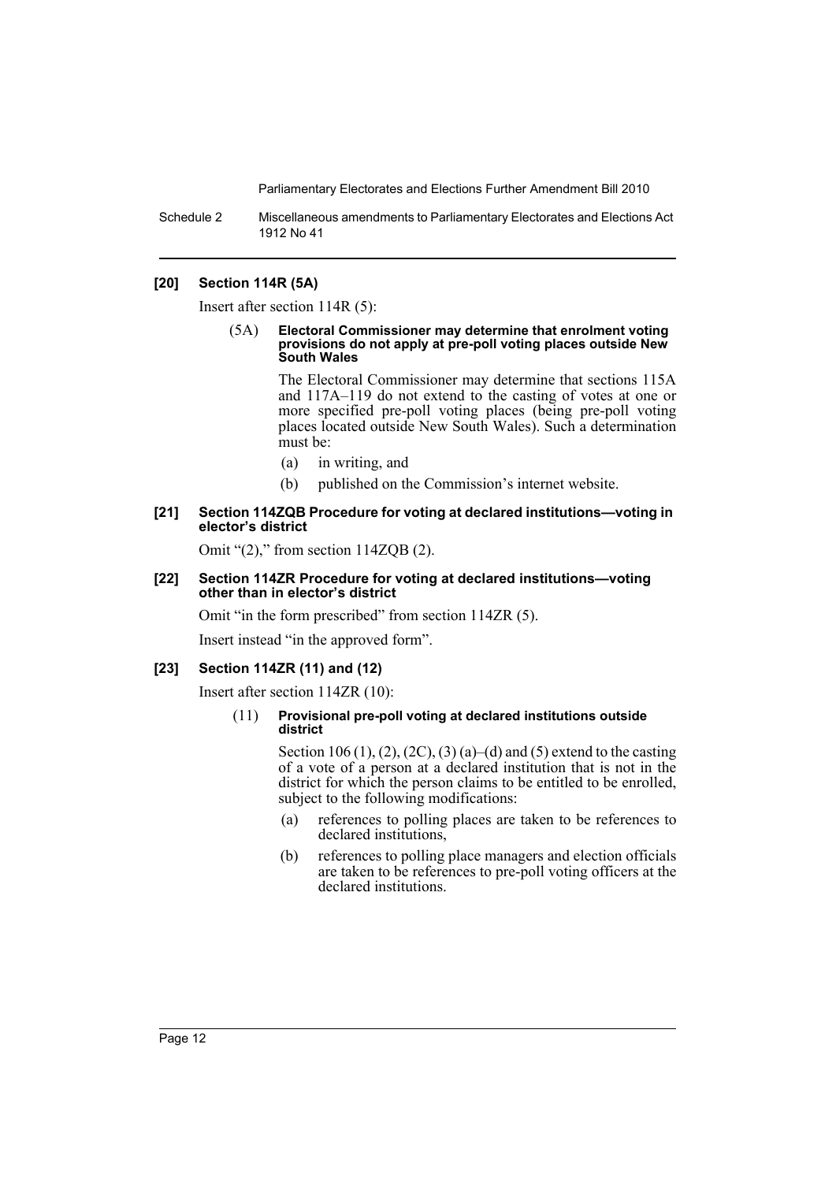Schedule 2 Miscellaneous amendments to Parliamentary Electorates and Elections Act 1912 No 41

#### **[20] Section 114R (5A)**

Insert after section 114R (5):

(5A) **Electoral Commissioner may determine that enrolment voting provisions do not apply at pre-poll voting places outside New South Wales**

> The Electoral Commissioner may determine that sections 115A and 117A–119 do not extend to the casting of votes at one or more specified pre-poll voting places (being pre-poll voting places located outside New South Wales). Such a determination must be:

- (a) in writing, and
- (b) published on the Commission's internet website.

#### **[21] Section 114ZQB Procedure for voting at declared institutions—voting in elector's district**

Omit " $(2)$ ," from section 114ZQB  $(2)$ .

#### **[22] Section 114ZR Procedure for voting at declared institutions—voting other than in elector's district**

Omit "in the form prescribed" from section 114ZR (5).

Insert instead "in the approved form".

#### **[23] Section 114ZR (11) and (12)**

Insert after section 114ZR (10):

#### (11) **Provisional pre-poll voting at declared institutions outside district**

Section 106 (1), (2), (2C), (3) (a)–(d) and (5) extend to the casting of a vote of a person at a declared institution that is not in the district for which the person claims to be entitled to be enrolled, subject to the following modifications:

- (a) references to polling places are taken to be references to declared institutions,
- (b) references to polling place managers and election officials are taken to be references to pre-poll voting officers at the declared institutions.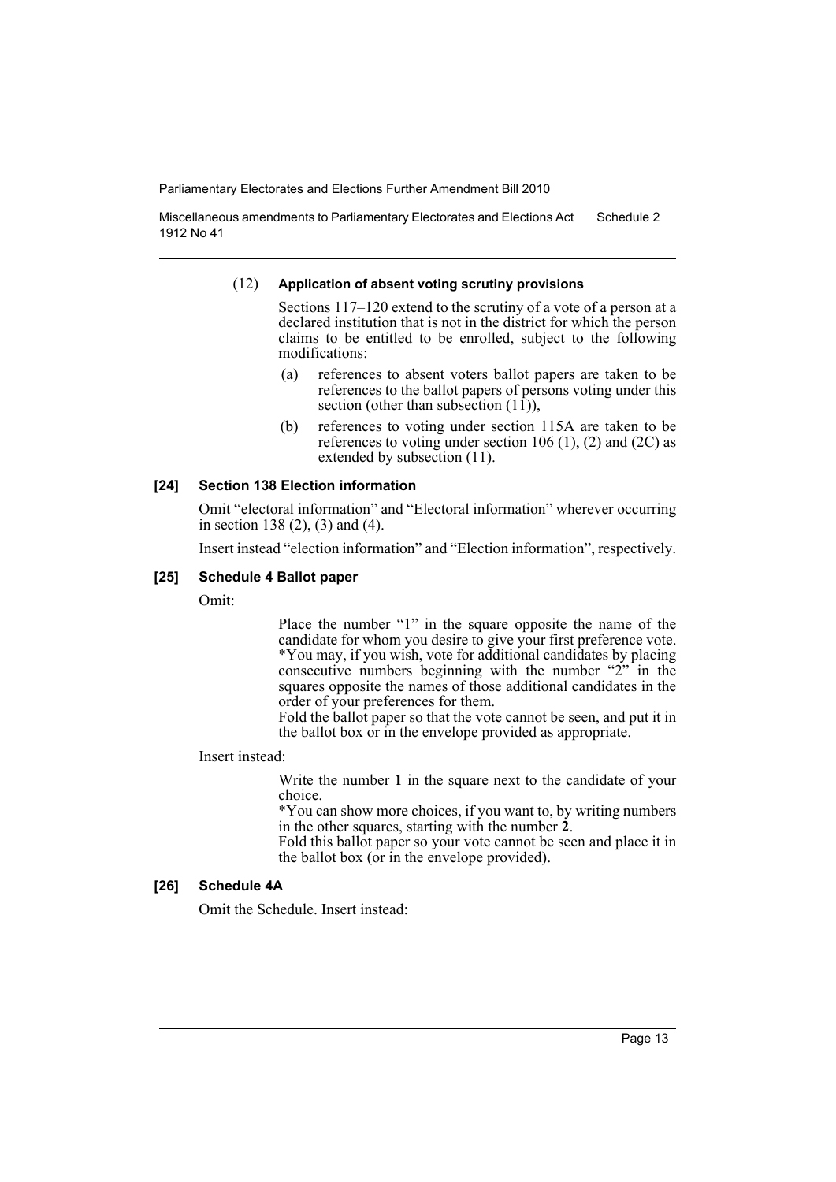Miscellaneous amendments to Parliamentary Electorates and Elections Act 1912 No 41 Schedule 2

#### (12) **Application of absent voting scrutiny provisions**

Sections 117–120 extend to the scrutiny of a vote of a person at a declared institution that is not in the district for which the person claims to be entitled to be enrolled, subject to the following modifications:

- (a) references to absent voters ballot papers are taken to be references to the ballot papers of persons voting under this section (other than subsection  $(11)$ ),
- (b) references to voting under section 115A are taken to be references to voting under section 106  $(1)$ ,  $(2)$  and  $(2C)$  as extended by subsection (11).

#### **[24] Section 138 Election information**

Omit "electoral information" and "Electoral information" wherever occurring in section 138 (2), (3) and (4).

Insert instead "election information" and "Election information", respectively.

#### **[25] Schedule 4 Ballot paper**

Omit:

Place the number "1" in the square opposite the name of the candidate for whom you desire to give your first preference vote. \*You may, if you wish, vote for additional candidates by placing consecutive numbers beginning with the number "2" in the squares opposite the names of those additional candidates in the order of your preferences for them.

Fold the ballot paper so that the vote cannot be seen, and put it in the ballot box or in the envelope provided as appropriate.

#### Insert instead:

Write the number **1** in the square next to the candidate of your choice.

\*You can show more choices, if you want to, by writing numbers

Fold this ballot paper so your vote cannot be seen and place it in the ballot box (or in the envelope provided).

## **[26] Schedule 4A**

Omit the Schedule. Insert instead: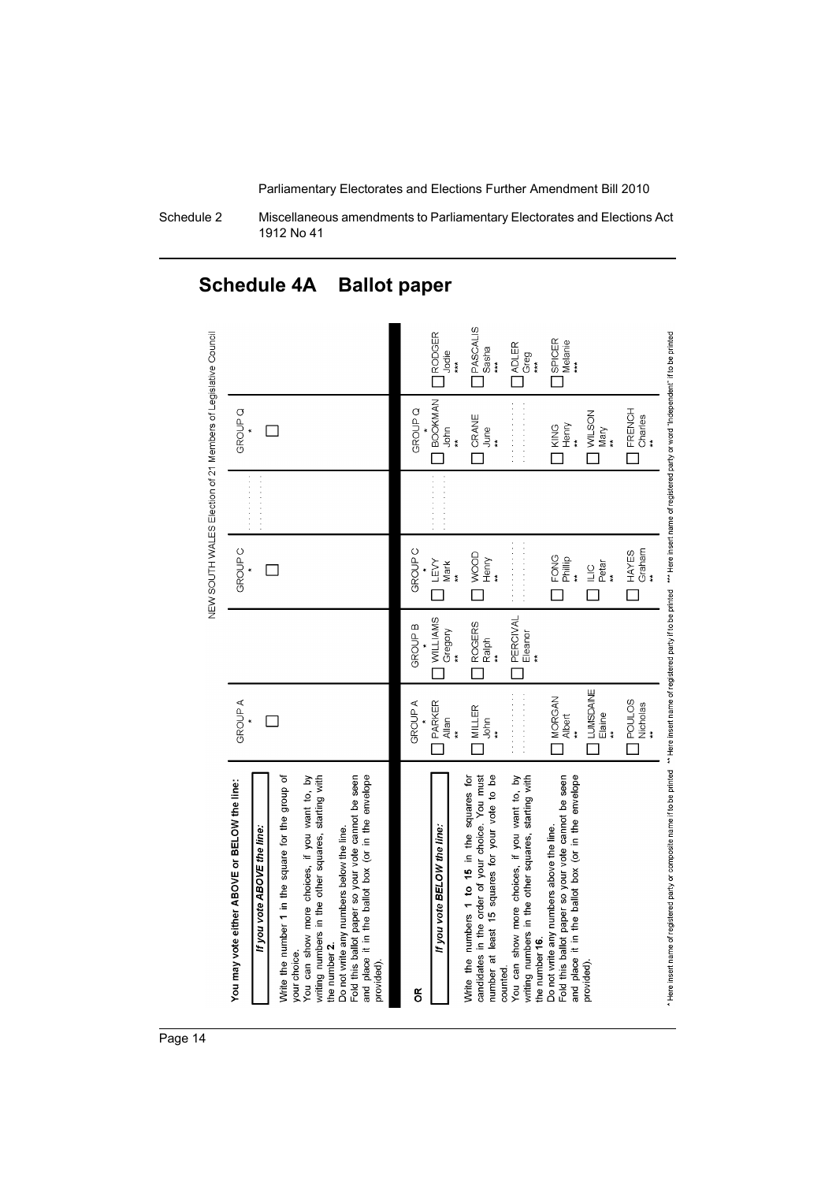Schedule 2 Miscellaneous amendments to Parliamentary Electorates and Elections Act 1912 No 41

#### **O** PASCALIS □ RODGER<br>Jodie<br>\*\*\* NEW SOUTH WALES Election of 21 Members of Legislative Council . Here insert name of registered party or composite name if to be printed. \*\* Here inserting to be printed the fine in the insert name of registered party or word "Independent" if to be printed. SPICER<br>Melanie<br>\*\*\* Sasha<br>\*\*\*  $\begin{array}{c}\n \begin{array}{c}\n \text{BOOKMAN} \\
 \text{John}\n \end{array}\n \end{array}$ GROUP<sub>Q</sub> **FRENCH** GROUP<sub>Q</sub> CRANE<br>June<br>\*\* WILSON<br>Mary Charles KING<br>Henry  $\Box$  $\ddot{x}$  $\ddot{z}$  $\Box$  $\Box$  $\Box$  $\Box$  $\Box$ Graham **GROUP C** HAYES GROUP<sub>C</sub> WOOD<br>Henry FONG<br>Philip<br>\*  $\mathop{\mathsf{Lex}}\limits_{\mathsf{Mark}}$  $\mathop{\sqsubseteq}\limits_{\mathop{\sf Pet}\limits^{\mathop{\sf m}}}_{\mathop{\sf P\acute{e}t\acute{e}t}}$  $\Box$  $\Box$  $\Box$  $\Box$  $\Box$  $\Box$ PERCIVAL<br>Eleanor<br>\*\*  $\begin{array}{c}\n\hline\n\text{WILLIAMS} \\
\text{Gregory}\n\end{array}$ ROGERS<br>Ralph **GROUP B**  $\Box$  $\Box$  $\begin{array}{c}\n\square\text{UMSDANE}\n\end{array}$  $\label{eq:geodesic} \square$  MORGAN POULOS<br>Nicholas<br>\*\*  $\bigcap_{\mathsf{Allan}\atop\qquadmathsf{all}}\mathsf{PARKER}$ **GROUPA**  $\bigcup_{\substack{\mathrm{John}\\ \mathrm{\tiny{with}}}}$ GROUP A  $\Box$  $*$  $\Box$ Fold this ballot paper so your vote cannot be seen<br>and place it in the ballot box (or in the envelope You can show more choices, if you want to, by<br>writing numbers in the other squares, starting with number at least 15 squares for your vote to be You can show more choices, if you want to, by<br>writing numbers in the other squares, starting with Write the number 1 in the square for the group of candidates in the order of your choice. You must Fold this ballot paper so your vote cannot be seen and place it in the ballot box (or in the envelope Write the numbers 1 to 15 in the squares for You may vote either ABOVE or BELOW the line: Do not write any numbers above the line. Do not write any numbers below the line. If you vote BELOW the line: If you vote ABOVE the line: the number 16. the number 2. your choice. provided). provided) counted.  $\tilde{5}$

## **Schedule 4A Ballot paper**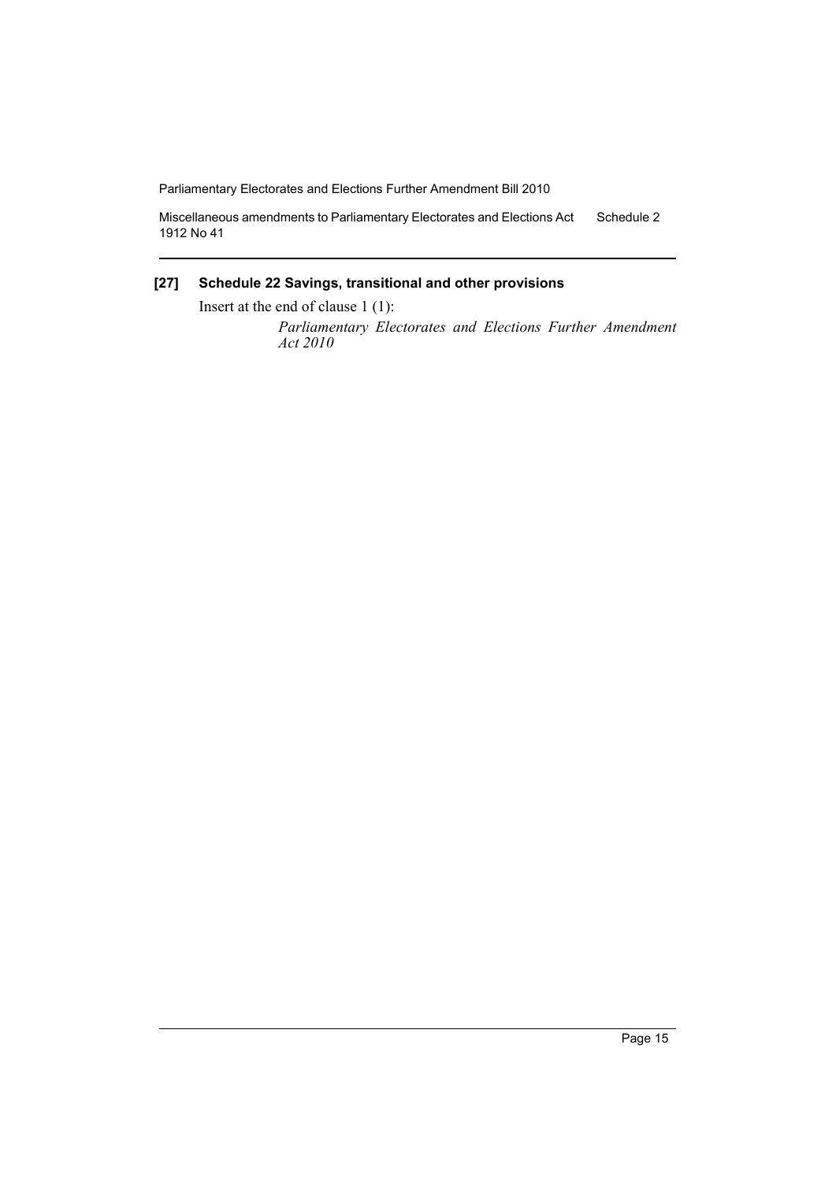Miscellaneous amendments to Parliamentary Electorates and Elections Act 1912 No 41 Schedule 2

#### **[27] Schedule 22 Savings, transitional and other provisions**

Insert at the end of clause 1 (1):

*Parliamentary Electorates and Elections Further Amendment Act 2010*